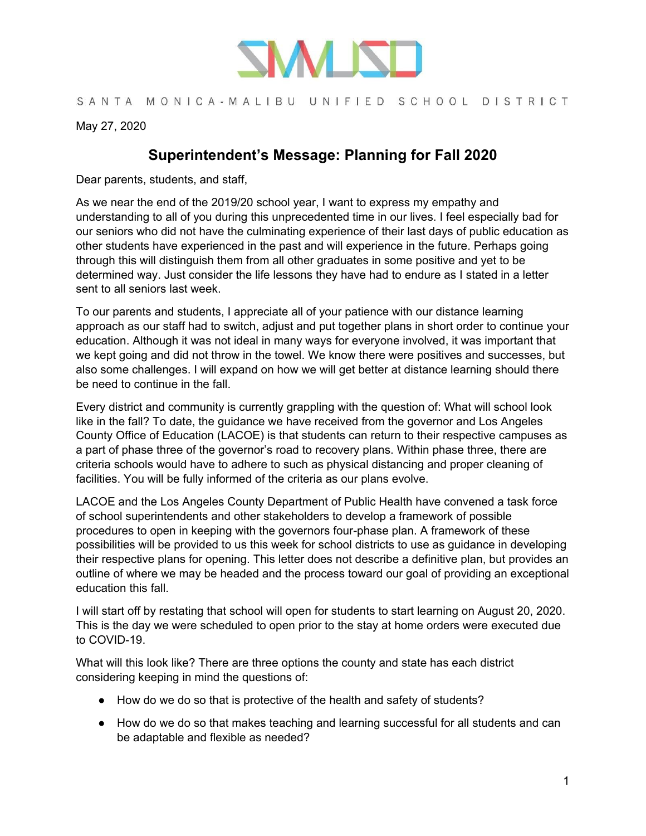

## SANTA MONICA-MALIBU UNIFIED SCHOOL DISTRICT

May 27, 2020

## **Superintendent's Message: Planning for Fall 2020**

Dear parents, students, and staff,

As we near the end of the 2019/20 school year, I want to express my empathy and understanding to all of you during this unprecedented time in our lives. I feel especially bad for our seniors who did not have the culminating experience of their last days of public education as other students have experienced in the past and will experience in the future. Perhaps going through this will distinguish them from all other graduates in some positive and yet to be determined way. Just consider the life lessons they have had to endure as I stated in a letter sent to all seniors last week.

To our parents and students, I appreciate all of your patience with our distance learning approach as our staff had to switch, adjust and put together plans in short order to continue your education. Although it was not ideal in many ways for everyone involved, it was important that we kept going and did not throw in the towel. We know there were positives and successes, but also some challenges. I will expand on how we will get better at distance learning should there be need to continue in the fall.

Every district and community is currently grappling with the question of: What will school look like in the fall? To date, the guidance we have received from the governor and Los Angeles County Office of Education (LACOE) is that students can return to their respective campuses as a part of phase three of the governor's road to recovery plans. Within phase three, there are criteria schools would have to adhere to such as physical distancing and proper cleaning of facilities. You will be fully informed of the criteria as our plans evolve.

LACOE and the Los Angeles County Department of Public Health have convened a task force of school superintendents and other stakeholders to develop a framework of possible procedures to open in keeping with the governors four-phase plan. A framework of these possibilities will be provided to us this week for school districts to use as guidance in developing their respective plans for opening. This letter does not describe a definitive plan, but provides an outline of where we may be headed and the process toward our goal of providing an exceptional education this fall.

I will start off by restating that school will open for students to start learning on August 20, 2020. This is the day we were scheduled to open prior to the stay at home orders were executed due to COVID-19.

What will this look like? There are three options the county and state has each district considering keeping in mind the questions of:

- How do we do so that is protective of the health and safety of students?
- How do we do so that makes teaching and learning successful for all students and can be adaptable and flexible as needed?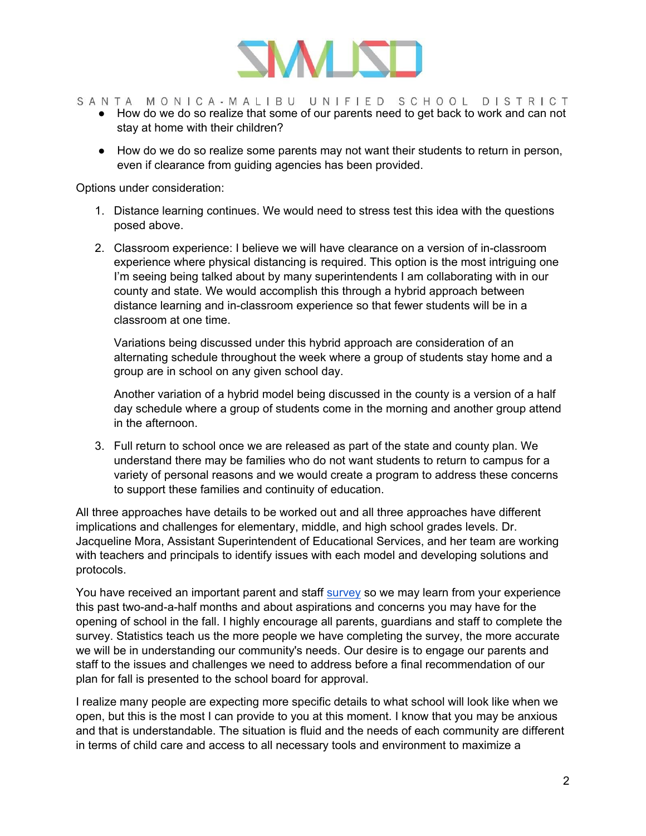

- SANTA MONICA-MALIBU UNIFIED SCHOOL DISTRICT
	- How do we do so realize that some of our parents need to get back to work and can not stay at home with their children?
	- How do we do so realize some parents may not want their students to return in person, even if clearance from guiding agencies has been provided.

Options under consideration:

- 1. Distance learning continues. We would need to stress test this idea with the questions posed above.
- 2. Classroom experience: I believe we will have clearance on a version of in-classroom experience where physical distancing is required. This option is the most intriguing one I'm seeing being talked about by many superintendents I am collaborating with in our county and state. We would accomplish this through a hybrid approach between distance learning and in-classroom experience so that fewer students will be in a classroom at one time.

Variations being discussed under this hybrid approach are consideration of an alternating schedule throughout the week where a group of students stay home and a group are in school on any given school day.

Another variation of a hybrid model being discussed in the county is a version of a half day schedule where a group of students come in the morning and another group attend in the afternoon.

3. Full return to school once we are released as part of the state and county plan. We understand there may be families who do not want students to return to campus for a variety of personal reasons and we would create a program to address these concerns to support these families and continuity of education.

All three approaches have details to be worked out and all three approaches have different implications and challenges for elementary, middle, and high school grades levels. Dr. Jacqueline Mora, Assistant Superintendent of Educational Services, and her team are working with teachers and principals to identify issues with each model and developing solutions and protocols.

You have received an important parent and staff [survey](https://bit.ly/LearningSurvey20) so we may learn from your experience this past two-and-a-half months and about aspirations and concerns you may have for the opening of school in the fall. I highly encourage all parents, guardians and staff to complete the survey. Statistics teach us the more people we have completing the survey, the more accurate we will be in understanding our community's needs. Our desire is to engage our parents and staff to the issues and challenges we need to address before a final recommendation of our plan for fall is presented to the school board for approval.

I realize many people are expecting more specific details to what school will look like when we open, but this is the most I can provide to you at this moment. I know that you may be anxious and that is understandable. The situation is fluid and the needs of each community are different in terms of child care and access to all necessary tools and environment to maximize a